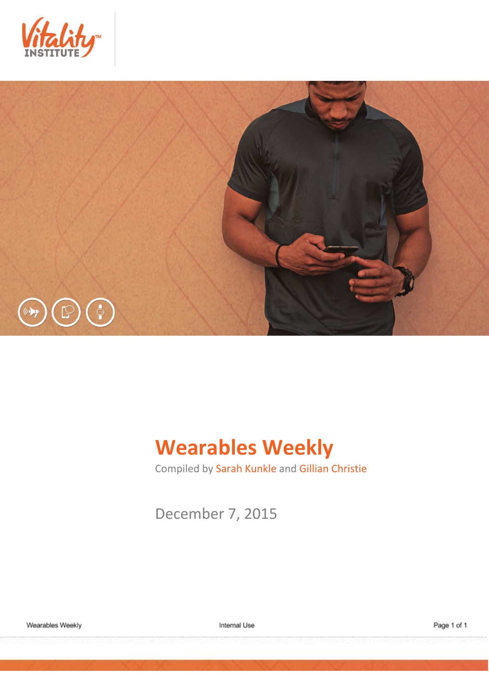



# **Wearables Weekly**

Compiled by Sarah Kunkle and Gillian Christie

December 7, 2015

Internal Use

Page 1 of 1